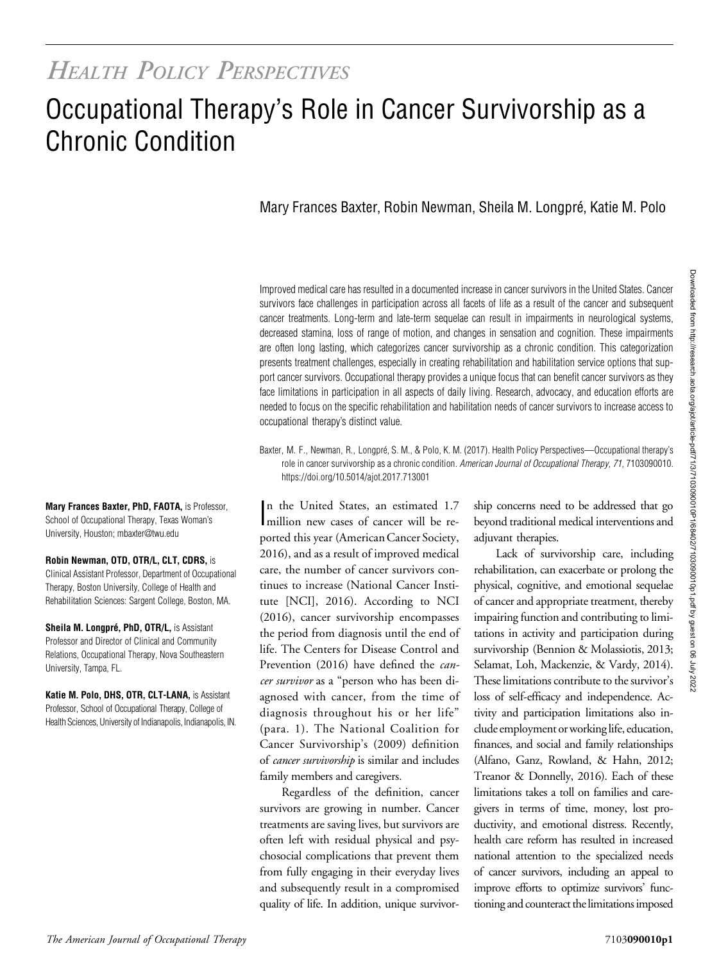# Occupational Therapy's Role in Cancer Survivorship as a Chronic Condition

## Mary Frances Baxter, Robin Newman, Sheila M. Longpré, Katie M. Polo

Improved medical care has resulted in a documented increase in cancer survivors in the United States. Cancer survivors face challenges in participation across all facets of life as a result of the cancer and subsequent cancer treatments. Long-term and late-term sequelae can result in impairments in neurological systems, decreased stamina, loss of range of motion, and changes in sensation and cognition. These impairments are often long lasting, which categorizes cancer survivorship as a chronic condition. This categorization presents treatment challenges, especially in creating rehabilitation and habilitation service options that support cancer survivors. Occupational therapy provides a unique focus that can benefit cancer survivors as they face limitations in participation in all aspects of daily living. Research, advocacy, and education efforts are needed to focus on the specific rehabilitation and habilitation needs of cancer survivors to increase access to occupational therapy's distinct value.

Baxter, M. F., Newman, R., Longpré, S. M., & Polo, K. M. (2017). Health Policy Perspectives—Occupational therapy's role in cancer survivorship as a chronic condition. American Journal of Occupational Therapy, 71, 7103090010. https://doi.org/10.5014/ajot.2017.713001

In the United States, an estimated 1.7<br>million new cases of cancer will be ren the United States, an estimated 1.7 ported this year (American Cancer Society, 2016), and as a result of improved medical care, the number of cancer survivors continues to increase (National Cancer Institute [NCI], 2016). According to NCI (2016), cancer survivorship encompasses the period from diagnosis until the end of life. The Centers for Disease Control and Prevention (2016) have defined the *can*cer survivor as a "person who has been diagnosed with cancer, from the time of diagnosis throughout his or her life" (para. 1). The National Coalition for Cancer Survivorship's (2009) definition of cancer survivorship is similar and includes family members and caregivers.

Regardless of the definition, cancer survivors are growing in number. Cancer treatments are saving lives, but survivors are often left with residual physical and psychosocial complications that prevent them from fully engaging in their everyday lives and subsequently result in a compromised quality of life. In addition, unique survivorship concerns need to be addressed that go beyond traditional medical interventions and adjuvant therapies.

Lack of survivorship care, including rehabilitation, can exacerbate or prolong the physical, cognitive, and emotional sequelae of cancer and appropriate treatment, thereby impairing function and contributing to limitations in activity and participation during survivorship (Bennion & Molassiotis, 2013; Selamat, Loh, Mackenzie, & Vardy, 2014). These limitations contribute to the survivor's loss of self-efficacy and independence. Activity and participation limitations also include employment orworking life, education, finances, and social and family relationships (Alfano, Ganz, Rowland, & Hahn, 2012; Treanor & Donnelly, 2016). Each of these limitations takes a toll on families and caregivers in terms of time, money, lost productivity, and emotional distress. Recently, health care reform has resulted in increased national attention to the specialized needs of cancer survivors, including an appeal to improve efforts to optimize survivors' functioning and counteract the limitationsimposed

Downloaded from http://research.aota.org/ajot/article-pdf/71/37103090010P1/68402/7103090010p1.pdf by guest on 06 July 2022 Downloaded from http://research.aota.org/ajot/article-pdf/71/3/7103090010P1/68402/7103090010p1.pdf by guest on 06 July 2022

Mary Frances Baxter, PhD, FAOTA, is Professor, School of Occupational Therapy, Texas Woman's University, Houston; [mbaxter@twu.edu](mailto:mbaxter@twu.edu)

Robin Newman, OTD, OTR/L, CLT, CDRS, is Clinical Assistant Professor, Department of Occupational Therapy, Boston University, College of Health and Rehabilitation Sciences: Sargent College, Boston, MA.

Sheila M. Longpré, PhD, OTR/L, is Assistant Professor and Director of Clinical and Community Relations, Occupational Therapy, Nova Southeastern University, Tampa, FL.

Katie M. Polo, DHS, OTR, CLT-LANA, is Assistant Professor, School of Occupational Therapy, College of Health Sciences, University of Indianapolis, Indianapolis, IN.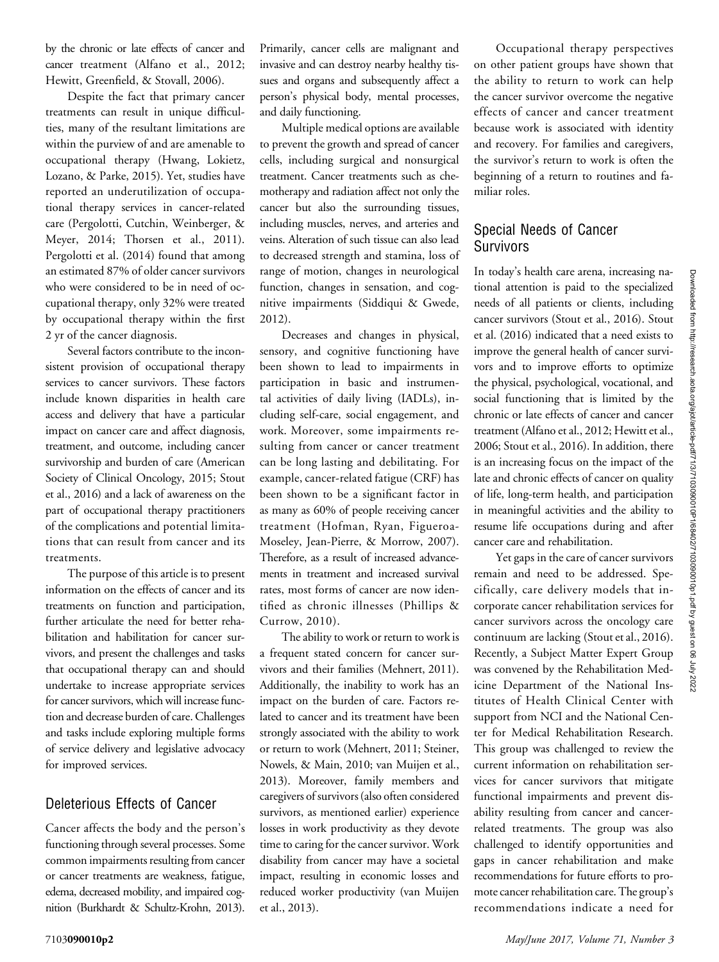Downloaded from http://research.aota.org/ajot/article-pdf/71/3/7103090010P1/68402/7103090010p1.pdf by guest on 06 July Downloaded from http://research.aota.org/ajot/article-pdf/71/3/7103090010P1/68402/7103090010p1.pdf by guest on 06 July 2022202

by the chronic or late effects of cancer and cancer treatment (Alfano et al., 2012; Hewitt, Greenfield, & Stovall, 2006).

Despite the fact that primary cancer treatments can result in unique difficulties, many of the resultant limitations are within the purview of and are amenable to occupational therapy (Hwang, Lokietz, Lozano, & Parke, 2015). Yet, studies have reported an underutilization of occupational therapy services in cancer-related care (Pergolotti, Cutchin, Weinberger, & Meyer, 2014; Thorsen et al., 2011). Pergolotti et al. (2014) found that among an estimated 87% of older cancer survivors who were considered to be in need of occupational therapy, only 32% were treated by occupational therapy within the first 2 yr of the cancer diagnosis.

Several factors contribute to the inconsistent provision of occupational therapy services to cancer survivors. These factors include known disparities in health care access and delivery that have a particular impact on cancer care and affect diagnosis, treatment, and outcome, including cancer survivorship and burden of care (American Society of Clinical Oncology, 2015; Stout et al., 2016) and a lack of awareness on the part of occupational therapy practitioners of the complications and potential limitations that can result from cancer and its treatments.

The purpose of this article is to present information on the effects of cancer and its treatments on function and participation, further articulate the need for better rehabilitation and habilitation for cancer survivors, and present the challenges and tasks that occupational therapy can and should undertake to increase appropriate services for cancer survivors, which will increase function and decrease burden of care. Challenges and tasks include exploring multiple forms of service delivery and legislative advocacy for improved services.

## Deleterious Effects of Cancer

Cancer affects the body and the person's functioning through several processes. Some common impairments resulting from cancer or cancer treatments are weakness, fatigue, edema, decreased mobility, and impaired cognition (Burkhardt & Schultz-Krohn, 2013).

Primarily, cancer cells are malignant and invasive and can destroy nearby healthy tissues and organs and subsequently affect a person's physical body, mental processes, and daily functioning.

Multiple medical options are available to prevent the growth and spread of cancer cells, including surgical and nonsurgical treatment. Cancer treatments such as chemotherapy and radiation affect not only the cancer but also the surrounding tissues, including muscles, nerves, and arteries and veins. Alteration of such tissue can also lead to decreased strength and stamina, loss of range of motion, changes in neurological function, changes in sensation, and cognitive impairments (Siddiqui & Gwede, 2012).

Decreases and changes in physical, sensory, and cognitive functioning have been shown to lead to impairments in participation in basic and instrumental activities of daily living (IADLs), including self-care, social engagement, and work. Moreover, some impairments resulting from cancer or cancer treatment can be long lasting and debilitating. For example, cancer-related fatigue (CRF) has been shown to be a significant factor in as many as 60% of people receiving cancer treatment (Hofman, Ryan, Figueroa-Moseley, Jean-Pierre, & Morrow, 2007). Therefore, as a result of increased advancements in treatment and increased survival rates, most forms of cancer are now identified as chronic illnesses (Phillips & Currow, 2010).

The ability to work or return to work is a frequent stated concern for cancer survivors and their families (Mehnert, 2011). Additionally, the inability to work has an impact on the burden of care. Factors related to cancer and its treatment have been strongly associated with the ability to work or return to work (Mehnert, 2011; Steiner, Nowels, & Main, 2010; van Muijen et al., 2013). Moreover, family members and caregivers of survivors (also often considered survivors, as mentioned earlier) experience losses in work productivity as they devote time to caring for the cancer survivor. Work disability from cancer may have a societal impact, resulting in economic losses and reduced worker productivity (van Muijen et al., 2013).

Occupational therapy perspectives on other patient groups have shown that the ability to return to work can help the cancer survivor overcome the negative effects of cancer and cancer treatment because work is associated with identity and recovery. For families and caregivers, the survivor's return to work is often the beginning of a return to routines and familiar roles.

## Special Needs of Cancer Survivors

In today's health care arena, increasing national attention is paid to the specialized needs of all patients or clients, including cancer survivors (Stout et al., 2016). Stout et al. (2016) indicated that a need exists to improve the general health of cancer survivors and to improve efforts to optimize the physical, psychological, vocational, and social functioning that is limited by the chronic or late effects of cancer and cancer treatment (Alfano et al., 2012; Hewitt et al., 2006; Stout et al., 2016). In addition, there is an increasing focus on the impact of the late and chronic effects of cancer on quality of life, long-term health, and participation in meaningful activities and the ability to resume life occupations during and after cancer care and rehabilitation.

Yet gaps in the care of cancer survivors remain and need to be addressed. Specifically, care delivery models that incorporate cancer rehabilitation services for cancer survivors across the oncology care continuum are lacking (Stout et al., 2016). Recently, a Subject Matter Expert Group was convened by the Rehabilitation Medicine Department of the National Institutes of Health Clinical Center with support from NCI and the National Center for Medical Rehabilitation Research. This group was challenged to review the current information on rehabilitation services for cancer survivors that mitigate functional impairments and prevent disability resulting from cancer and cancerrelated treatments. The group was also challenged to identify opportunities and gaps in cancer rehabilitation and make recommendations for future efforts to promote cancer rehabilitation care. The group's recommendations indicate a need for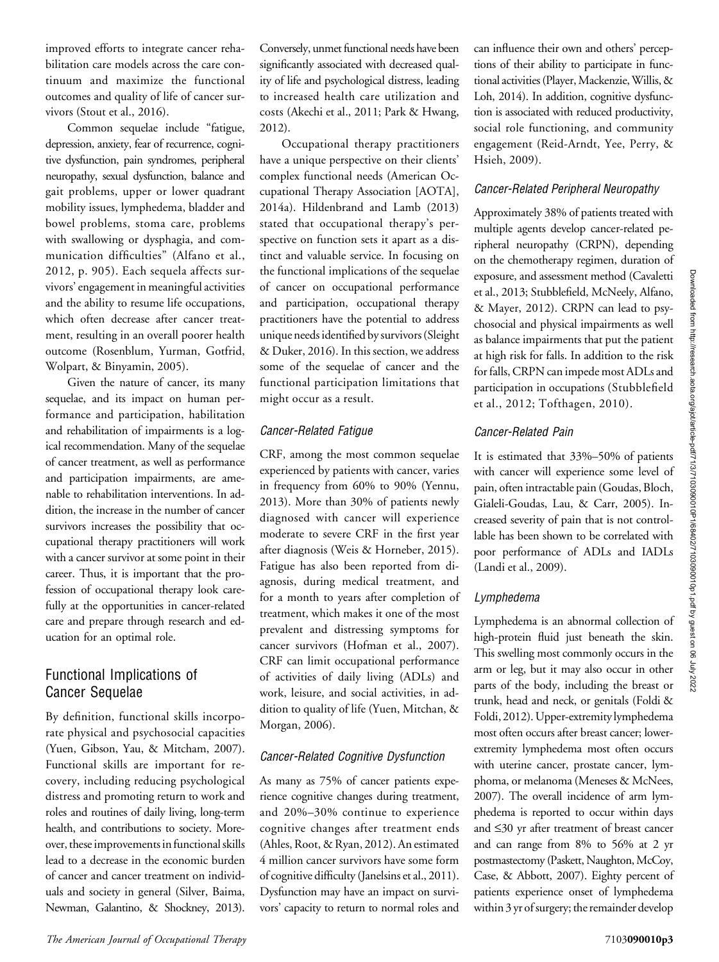improved efforts to integrate cancer rehabilitation care models across the care continuum and maximize the functional outcomes and quality of life of cancer survivors (Stout et al., 2016).

Common sequelae include "fatigue, depression, anxiety, fear of recurrence, cognitive dysfunction, pain syndromes, peripheral neuropathy, sexual dysfunction, balance and gait problems, upper or lower quadrant mobility issues, lymphedema, bladder and bowel problems, stoma care, problems with swallowing or dysphagia, and communication difficulties" (Alfano et al., 2012, p. 905). Each sequela affects survivors' engagement in meaningful activities and the ability to resume life occupations, which often decrease after cancer treatment, resulting in an overall poorer health outcome (Rosenblum, Yurman, Gotfrid, Wolpart, & Binyamin, 2005).

Given the nature of cancer, its many sequelae, and its impact on human performance and participation, habilitation and rehabilitation of impairments is a logical recommendation. Many of the sequelae of cancer treatment, as well as performance and participation impairments, are amenable to rehabilitation interventions. In addition, the increase in the number of cancer survivors increases the possibility that occupational therapy practitioners will work with a cancer survivor at some point in their career. Thus, it is important that the profession of occupational therapy look carefully at the opportunities in cancer-related care and prepare through research and education for an optimal role.

# Functional Implications of Cancer Sequelae

By definition, functional skills incorporate physical and psychosocial capacities (Yuen, Gibson, Yau, & Mitcham, 2007). Functional skills are important for recovery, including reducing psychological distress and promoting return to work and roles and routines of daily living, long-term health, and contributions to society. Moreover, these improvements in functional skills lead to a decrease in the economic burden of cancer and cancer treatment on individuals and society in general (Silver, Baima, Newman, Galantino, & Shockney, 2013).

Conversely, unmet functional needs have been significantly associated with decreased quality of life and psychological distress, leading to increased health care utilization and costs (Akechi et al., 2011; Park & Hwang, 2012).

Occupational therapy practitioners have a unique perspective on their clients' complex functional needs (American Occupational Therapy Association [AOTA], 2014a). Hildenbrand and Lamb (2013) stated that occupational therapy's perspective on function sets it apart as a distinct and valuable service. In focusing on the functional implications of the sequelae of cancer on occupational performance and participation, occupational therapy practitioners have the potential to address unique needs identified by survivors (Sleight & Duker, 2016). In this section, we address some of the sequelae of cancer and the functional participation limitations that might occur as a result.

#### Cancer-Related Fatigue

CRF, among the most common sequelae experienced by patients with cancer, varies in frequency from 60% to 90% (Yennu, 2013). More than 30% of patients newly diagnosed with cancer will experience moderate to severe CRF in the first year after diagnosis (Weis & Horneber, 2015). Fatigue has also been reported from diagnosis, during medical treatment, and for a month to years after completion of treatment, which makes it one of the most prevalent and distressing symptoms for cancer survivors (Hofman et al., 2007). CRF can limit occupational performance of activities of daily living (ADLs) and work, leisure, and social activities, in addition to quality of life (Yuen, Mitchan, & Morgan, 2006).

### Cancer-Related Cognitive Dysfunction

As many as 75% of cancer patients experience cognitive changes during treatment, and 20%–30% continue to experience cognitive changes after treatment ends (Ahles, Root, & Ryan, 2012). An estimated 4 million cancer survivors have some form of cognitive difficulty (Janelsins et al., 2011). Dysfunction may have an impact on survivors' capacity to return to normal roles and

can influence their own and others' perceptions of their ability to participate in functional activities (Player, Mackenzie, Willis, & Loh, 2014). In addition, cognitive dysfunction is associated with reduced productivity, social role functioning, and community engagement (Reid-Arndt, Yee, Perry, & Hsieh, 2009).

#### Cancer-Related Peripheral Neuropathy

Approximately 38% of patients treated with multiple agents develop cancer-related peripheral neuropathy (CRPN), depending on the chemotherapy regimen, duration of exposure, and assessment method (Cavaletti et al., 2013; Stubblefield, McNeely, Alfano, & Mayer, 2012). CRPN can lead to psychosocial and physical impairments as well as balance impairments that put the patient at high risk for falls. In addition to the risk for falls, CRPN can impede most ADLs and participation in occupations (Stubblefield et al., 2012; Tofthagen, 2010).

#### Cancer-Related Pain

It is estimated that 33%–50% of patients with cancer will experience some level of pain, often intractable pain (Goudas, Bloch, Gialeli-Goudas, Lau, & Carr, 2005). Increased severity of pain that is not controllable has been shown to be correlated with poor performance of ADLs and IADLs (Landi et al., 2009).

### Lymphedema

Lymphedema is an abnormal collection of high-protein fluid just beneath the skin. This swelling most commonly occurs in the arm or leg, but it may also occur in other parts of the body, including the breast or trunk, head and neck, or genitals (Foldi & Foldi, 2012). Upper-extremity lymphedema most often occurs after breast cancer; lowerextremity lymphedema most often occurs with uterine cancer, prostate cancer, lymphoma, or melanoma (Meneses & McNees, 2007). The overall incidence of arm lymphedema is reported to occur within days and  $\leq$ 30 yr after treatment of breast cancer and can range from 8% to 56% at 2 yr postmastectomy (Paskett, Naughton, McCoy, Case, & Abbott, 2007). Eighty percent of patients experience onset of lymphedema within 3 yr of surgery; the remainder develop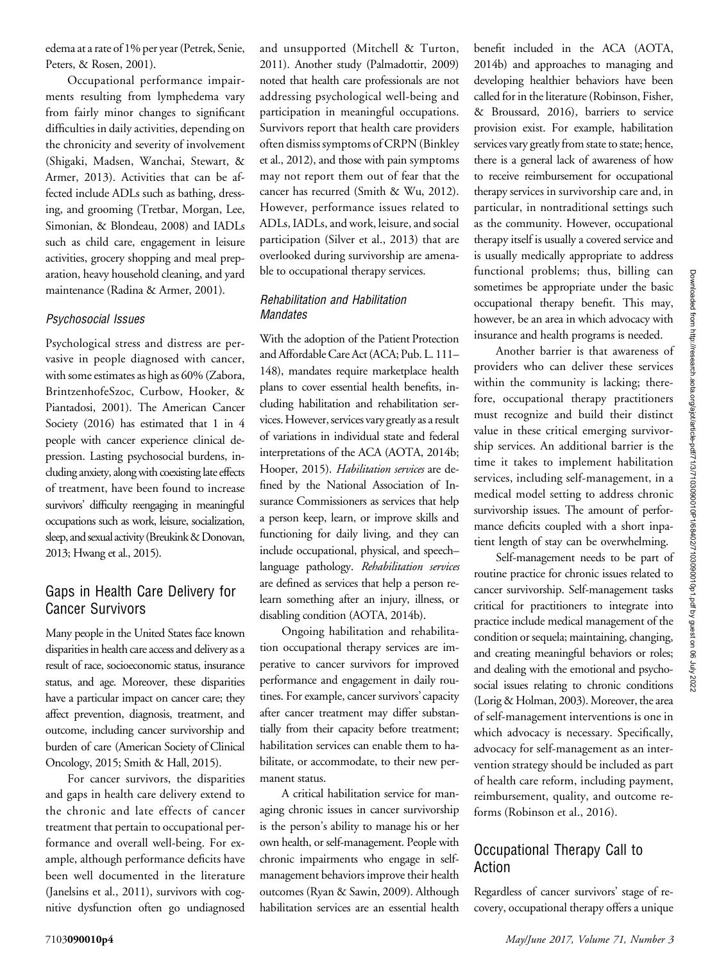edema at a rate of 1% per year (Petrek, Senie, Peters, & Rosen, 2001).

Occupational performance impairments resulting from lymphedema vary from fairly minor changes to significant difficulties in daily activities, depending on the chronicity and severity of involvement (Shigaki, Madsen, Wanchai, Stewart, & Armer, 2013). Activities that can be affected include ADLs such as bathing, dressing, and grooming (Tretbar, Morgan, Lee, Simonian, & Blondeau, 2008) and IADLs such as child care, engagement in leisure activities, grocery shopping and meal preparation, heavy household cleaning, and yard maintenance (Radina & Armer, 2001).

#### Psychosocial Issues

Psychological stress and distress are pervasive in people diagnosed with cancer, with some estimates as high as 60% (Zabora, BrintzenhofeSzoc, Curbow, Hooker, & Piantadosi, 2001). The American Cancer Society (2016) has estimated that 1 in 4 people with cancer experience clinical depression. Lasting psychosocial burdens, including anxiety, along with coexisting late effects of treatment, have been found to increase survivors' difficulty reengaging in meaningful occupations such as work, leisure, socialization, sleep, and sexual activity (Breukink & Donovan, 2013; Hwang et al., 2015).

## Gaps in Health Care Delivery for Cancer Survivors

Many people in the United States face known disparities in health care access and delivery as a result of race, socioeconomic status, insurance status, and age. Moreover, these disparities have a particular impact on cancer care; they affect prevention, diagnosis, treatment, and outcome, including cancer survivorship and burden of care (American Society of Clinical Oncology, 2015; Smith & Hall, 2015).

For cancer survivors, the disparities and gaps in health care delivery extend to the chronic and late effects of cancer treatment that pertain to occupational performance and overall well-being. For example, although performance deficits have been well documented in the literature (Janelsins et al., 2011), survivors with cognitive dysfunction often go undiagnosed

and unsupported (Mitchell & Turton, 2011). Another study (Palmadottir, 2009) noted that health care professionals are not addressing psychological well-being and participation in meaningful occupations. Survivors report that health care providers often dismiss symptoms of CRPN (Binkley et al., 2012), and those with pain symptoms may not report them out of fear that the cancer has recurred (Smith & Wu, 2012). However, performance issues related to ADLs, IADLs, and work, leisure, and social participation (Silver et al., 2013) that are overlooked during survivorship are amenable to occupational therapy services.

#### Rehabilitation and Habilitation **Mandates**

With the adoption of the Patient Protection and Affordable Care Act (ACA; Pub. L. 111– 148), mandates require marketplace health plans to cover essential health benefits, including habilitation and rehabilitation services. However, services vary greatly as a result of variations in individual state and federal interpretations of the ACA (AOTA, 2014b; Hooper, 2015). Habilitation services are defined by the National Association of Insurance Commissioners as services that help a person keep, learn, or improve skills and functioning for daily living, and they can include occupational, physical, and speech– language pathology. Rehabilitation services are defined as services that help a person relearn something after an injury, illness, or disabling condition (AOTA, 2014b).

Ongoing habilitation and rehabilitation occupational therapy services are imperative to cancer survivors for improved performance and engagement in daily routines. For example, cancer survivors' capacity after cancer treatment may differ substantially from their capacity before treatment; habilitation services can enable them to habilitate, or accommodate, to their new permanent status.

A critical habilitation service for managing chronic issues in cancer survivorship is the person's ability to manage his or her own health, or self-management. People with chronic impairments who engage in selfmanagement behaviors improve their health outcomes (Ryan & Sawin, 2009). Although habilitation services are an essential health benefit included in the ACA (AOTA, 2014b) and approaches to managing and developing healthier behaviors have been called for in the literature (Robinson, Fisher, & Broussard, 2016), barriers to service provision exist. For example, habilitation services vary greatly from state to state; hence, there is a general lack of awareness of how to receive reimbursement for occupational therapy services in survivorship care and, in particular, in nontraditional settings such as the community. However, occupational therapy itself is usually a covered service and is usually medically appropriate to address functional problems; thus, billing can sometimes be appropriate under the basic occupational therapy benefit. This may, however, be an area in which advocacy with insurance and health programs is needed.

Another barrier is that awareness of providers who can deliver these services within the community is lacking; therefore, occupational therapy practitioners must recognize and build their distinct value in these critical emerging survivorship services. An additional barrier is the time it takes to implement habilitation services, including self-management, in a medical model setting to address chronic survivorship issues. The amount of performance deficits coupled with a short inpatient length of stay can be overwhelming.

Self-management needs to be part of routine practice for chronic issues related to cancer survivorship. Self-management tasks critical for practitioners to integrate into practice include medical management of the condition or sequela; maintaining, changing, and creating meaningful behaviors or roles; and dealing with the emotional and psychosocial issues relating to chronic conditions (Lorig & Holman, 2003). Moreover, the area of self-management interventions is one in which advocacy is necessary. Specifically, advocacy for self-management as an intervention strategy should be included as part of health care reform, including payment, reimbursement, quality, and outcome reforms (Robinson et al., 2016).

## Occupational Therapy Call to Action

Regardless of cancer survivors' stage of recovery, occupational therapy offers a unique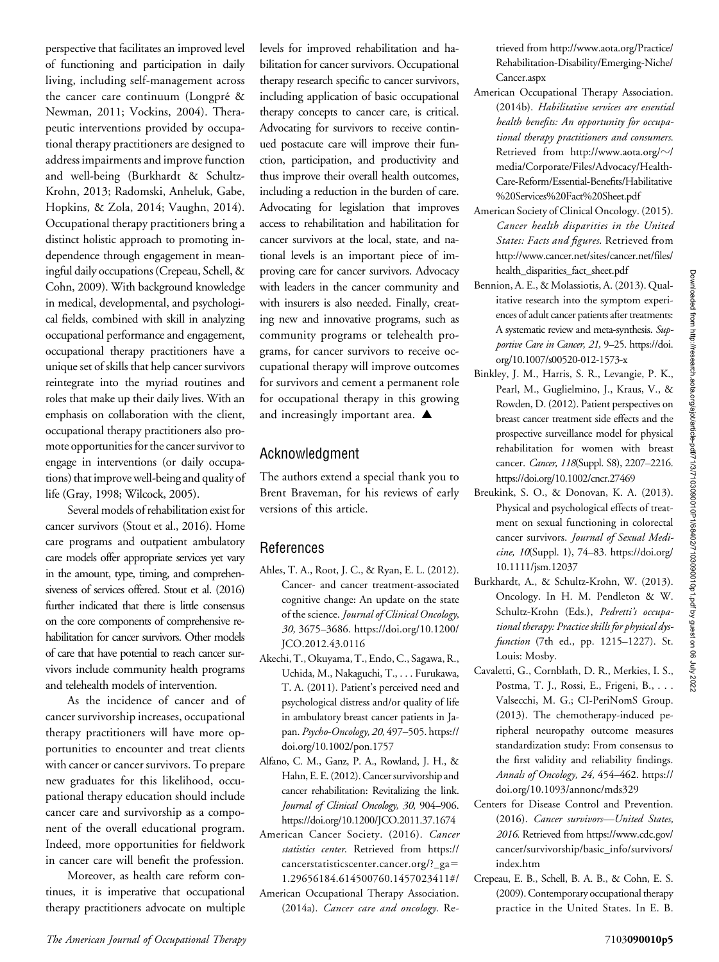perspective that facilitates an improved level of functioning and participation in daily living, including self-management across the cancer care continuum (Longpré  $\&$ Newman, 2011; Vockins, 2004). Therapeutic interventions provided by occupational therapy practitioners are designed to address impairments and improve function and well-being (Burkhardt & Schultz-Krohn, 2013; Radomski, Anheluk, Gabe, Hopkins, & Zola, 2014; Vaughn, 2014). Occupational therapy practitioners bring a distinct holistic approach to promoting independence through engagement in meaningful daily occupations (Crepeau, Schell, & Cohn, 2009). With background knowledge in medical, developmental, and psychological fields, combined with skill in analyzing occupational performance and engagement, occupational therapy practitioners have a unique set of skills that help cancer survivors reintegrate into the myriad routines and roles that make up their daily lives. With an emphasis on collaboration with the client, occupational therapy practitioners also promote opportunities for the cancer survivor to engage in interventions (or daily occupations) that improve well-being and quality of life (Gray, 1998; Wilcock, 2005).

Several models of rehabilitation exist for cancer survivors (Stout et al., 2016). Home care programs and outpatient ambulatory care models offer appropriate services yet vary in the amount, type, timing, and comprehensiveness of services offered. Stout et al. (2016) further indicated that there is little consensus on the core components of comprehensive rehabilitation for cancer survivors. Other models of care that have potential to reach cancer survivors include community health programs and telehealth models of intervention.

As the incidence of cancer and of cancer survivorship increases, occupational therapy practitioners will have more opportunities to encounter and treat clients with cancer or cancer survivors. To prepare new graduates for this likelihood, occupational therapy education should include cancer care and survivorship as a component of the overall educational program. Indeed, more opportunities for fieldwork in cancer care will benefit the profession.

Moreover, as health care reform continues, it is imperative that occupational therapy practitioners advocate on multiple

levels for improved rehabilitation and habilitation for cancer survivors. Occupational therapy research specific to cancer survivors, including application of basic occupational therapy concepts to cancer care, is critical. Advocating for survivors to receive continued postacute care will improve their function, participation, and productivity and thus improve their overall health outcomes, including a reduction in the burden of care. Advocating for legislation that improves access to rehabilitation and habilitation for cancer survivors at the local, state, and national levels is an important piece of improving care for cancer survivors. Advocacy with leaders in the cancer community and with insurers is also needed. Finally, creating new and innovative programs, such as community programs or telehealth programs, for cancer survivors to receive occupational therapy will improve outcomes for survivors and cement a permanent role for occupational therapy in this growing and increasingly important area.  $\blacktriangle$ 

### Acknowledgment

The authors extend a special thank you to Brent Braveman, for his reviews of early versions of this article.

# References

- Ahles, T. A., Root, J. C., & Ryan, E. L. (2012). Cancer- and cancer treatment-associated cognitive change: An update on the state of the science. Journal of Clinical Oncology, 30, 3675–3686. [https://doi.org/10.1200/](https://doi.org/10.1200/JCO.2012.43.0116) [JCO.2012.43.0116](https://doi.org/10.1200/JCO.2012.43.0116)
- Akechi, T., Okuyama, T., Endo, C., Sagawa, R., Uchida, M., Nakaguchi, T., . . . Furukawa, T. A. (2011). Patient's perceived need and psychological distress and/or quality of life in ambulatory breast cancer patients in Japan. Psycho-Oncology, 20, 497–505. [https://](https://doi.org/10.1002/pon.1757) [doi.org/10.1002/pon.1757](https://doi.org/10.1002/pon.1757)
- Alfano, C. M., Ganz, P. A., Rowland, J. H., & Hahn, E. E. (2012). Cancer survivorship and cancer rehabilitation: Revitalizing the link. Journal of Clinical Oncology, 30, 904–906. [https://doi.org/10.1200/JCO.2011.37.1674](http://dx.doi.org/10.1200/JCO.2011.37.1674)
- American Cancer Society. (2016). Cancer statistics center. Retrieved from [https://](https://cancerstatisticscenter.cancer.org/?_ga=1.29656184.614500760.1457023411#/) [cancerstatisticscenter.cancer.org/?\\_ga](https://cancerstatisticscenter.cancer.org/?_ga=1.29656184.614500760.1457023411#/)= [1.29656184.614500760.1457023411#/](https://cancerstatisticscenter.cancer.org/?_ga=1.29656184.614500760.1457023411#/)
- American Occupational Therapy Association. (2014a). Cancer care and oncology. Re-

trieved from [http://www.aota.org/Practice/](http://www.aota.org/Practice/Rehabilitation-Disability/Emerging-Niche/Cancer.aspx) [Rehabilitation-Disability/Emerging-Niche/](http://www.aota.org/Practice/Rehabilitation-Disability/Emerging-Niche/Cancer.aspx) [Cancer.aspx](http://www.aota.org/Practice/Rehabilitation-Disability/Emerging-Niche/Cancer.aspx)

- American Occupational Therapy Association. (2014b). Habilitative services are essential health benefits: An opportunity for occupational therapy practitioners and consumers. Retrieved from [http://www.aota.org/](http://www.aota.org/%7E/media/Corporate/Files/Advocacy/Health-Care-Reform/Essential-Benefits/Habilitative%20Services%20Fact%20Sheet.pdf) $\sim$ / [media/Corporate/Files/Advocacy/Health-](http://www.aota.org/%7E/media/Corporate/Files/Advocacy/Health-Care-Reform/Essential-Benefits/Habilitative%20Services%20Fact%20Sheet.pdf)[Care-Reform/Essential-Benefits/Habilitative](http://www.aota.org/%7E/media/Corporate/Files/Advocacy/Health-Care-Reform/Essential-Benefits/Habilitative%20Services%20Fact%20Sheet.pdf) [%20Services%20Fact%20Sheet.pdf](http://www.aota.org/%7E/media/Corporate/Files/Advocacy/Health-Care-Reform/Essential-Benefits/Habilitative%20Services%20Fact%20Sheet.pdf)
- American Society of Clinical Oncology. (2015). Cancer health disparities in the United States: Facts and figures. Retrieved from [http://www.cancer.net/sites/cancer.net/files/](http://www.cancer.net/sites/cancer.net/files/health_disparities_fact_sheet.pdf) [health\\_disparities\\_fact\\_sheet.pdf](http://www.cancer.net/sites/cancer.net/files/health_disparities_fact_sheet.pdf)
- Bennion, A. E., & Molassiotis, A. (2013). Qualitative research into the symptom experiences of adult cancer patients after treatments: A systematic review and meta-synthesis. Supportive Care in Cancer, 21, 9–25. [https://doi.](https://doi.org/10.1007/s00520-012-1573-x) [org/10.1007/s00520-012-1573-x](https://doi.org/10.1007/s00520-012-1573-x)
- Binkley, J. M., Harris, S. R., Levangie, P. K., Pearl, M., Guglielmino, J., Kraus, V., & Rowden, D. (2012). Patient perspectives on breast cancer treatment side effects and the prospective surveillance model for physical rehabilitation for women with breast cancer. Cancer, 118(Suppl. S8), 2207–2216. [https://doi.org/10.1002/cncr.27469](http://dx.doi.org/10.1002/cncr.27469)
- Breukink, S. O., & Donovan, K. A. (2013). Physical and psychological effects of treatment on sexual functioning in colorectal cancer survivors. Journal of Sexual Medicine, 10(Suppl. 1), 74–83. [https://doi.org/](http://dx.doi.org/10.1111/jsm.12037) [10.1111/jsm.12037](http://dx.doi.org/10.1111/jsm.12037)
- Burkhardt, A., & Schultz-Krohn, W. (2013). Oncology. In H. M. Pendleton & W. Schultz-Krohn (Eds.), Pedretti's occupational therapy: Practice skills for physical dysfunction (7th ed., pp. 1215-1227). St. Louis: Mosby.
- Cavaletti, G., Cornblath, D. R., Merkies, I. S., Postma, T. J., Rossi, E., Frigeni, B., . . . Valsecchi, M. G.; CI-PeriNomS Group. (2013). The chemotherapy-induced peripheral neuropathy outcome measures standardization study: From consensus to the first validity and reliability findings. Annals of Oncology, 24, 454–462. [https://](http://dx.doi.org/10.1093/annonc/mds329) [doi.org/10.1093/annonc/mds329](http://dx.doi.org/10.1093/annonc/mds329)
- Centers for Disease Control and Prevention. (2016). Cancer survivors—United States, 2016. Retrieved from [https://www.cdc.gov/](https://www.cdc.gov/cancer/survivorship/basic_info/survivors/index.htm) [cancer/survivorship/basic\\_info/survivors/](https://www.cdc.gov/cancer/survivorship/basic_info/survivors/index.htm) [index.htm](https://www.cdc.gov/cancer/survivorship/basic_info/survivors/index.htm)
- Crepeau, E. B., Schell, B. A. B., & Cohn, E. S. (2009). Contemporary occupational therapy practice in the United States. In E. B.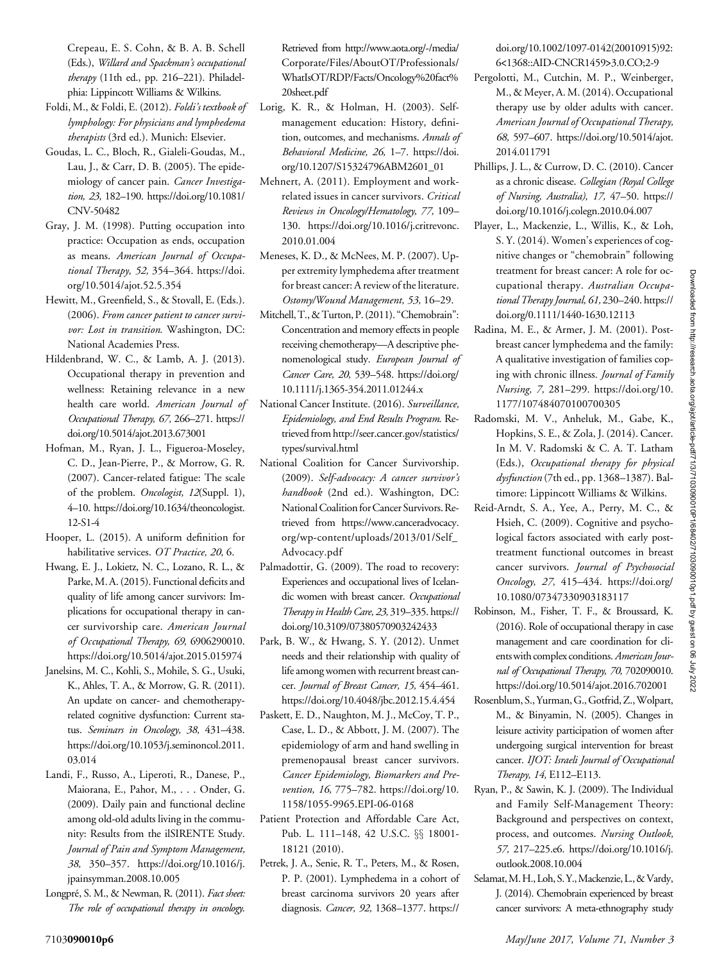Crepeau, E. S. Cohn, & B. A. B. Schell (Eds.), Willard and Spackman's occupational therapy (11th ed., pp. 216-221). Philadelphia: Lippincott Williams & Wilkins.

- Foldi, M., & Foldi, E. (2012). Foldi's textbook of lymphology: For physicians and lymphedema therapists (3rd ed.). Munich: Elsevier.
- Goudas, L. C., Bloch, R., Gialeli-Goudas, M., Lau, J., & Carr, D. B. (2005). The epidemiology of cancer pain. Cancer Investigation, 23, 182–190. [https://doi.org/10.1081/](http://dx.doi.org/10.1081/CNV-50482) [CNV-50482](http://dx.doi.org/10.1081/CNV-50482)
- Gray, J. M. (1998). Putting occupation into practice: Occupation as ends, occupation as means. American Journal of Occupational Therapy, 52, 354-364. [https://doi.](http://dx.doi.org/10.5014/ajot.52.5.354) [org/10.5014/ajot.52.5.354](http://dx.doi.org/10.5014/ajot.52.5.354)
- Hewitt, M., Greenfield, S., & Stovall, E. (Eds.). (2006). From cancer patient to cancer survivor: Lost in transition. Washington, DC: National Academies Press.
- Hildenbrand, W. C., & Lamb, A. J. (2013). Occupational therapy in prevention and wellness: Retaining relevance in a new health care world. American Journal of Occupational Therapy, 67, 266–271. [https://](http://dx.doi.org/10.5014/ajot.2013.673001) [doi.org/10.5014/ajot.2013.673001](http://dx.doi.org/10.5014/ajot.2013.673001)
- Hofman, M., Ryan, J. L., Figueroa-Moseley, C. D., Jean-Pierre, P., & Morrow, G. R. (2007). Cancer-related fatigue: The scale of the problem. Oncologist, 12(Suppl. 1), 4–10. [https://doi.org/10.1634/theoncologist.](http://dx.doi.org/10.1634/theoncologist.12-S1-4) [12-S1-4](http://dx.doi.org/10.1634/theoncologist.12-S1-4)
- Hooper, L. (2015). A uniform definition for habilitative services. OT Practice, 20, 6.
- Hwang, E. J., Lokietz, N. C., Lozano, R. L., & Parke, M. A. (2015). Functional deficits and quality of life among cancer survivors: Implications for occupational therapy in cancer survivorship care. American Journal of Occupational Therapy, 69, 6906290010. <https://doi.org/10.5014/ajot.2015.015974>
- Janelsins, M. C., Kohli, S., Mohile, S. G., Usuki, K., Ahles, T. A., & Morrow, G. R. (2011). An update on cancer- and chemotherapyrelated cognitive dysfunction: Current status. Seminars in Oncology, 38, 431–438. [https://doi.org/10.1053/j.seminoncol.2011.](http://dx.doi.org/10.1053/j.seminoncol.2011.03.014) [03.014](http://dx.doi.org/10.1053/j.seminoncol.2011.03.014)
- Landi, F., Russo, A., Liperoti, R., Danese, P., Maiorana, E., Pahor, M., . . . Onder, G. (2009). Daily pain and functional decline among old-old adults living in the community: Results from the ilSIRENTE Study. Journal of Pain and Symptom Management, 38, 350–357. [https://doi.org/10.1016/j.](http://dx.doi.org/10.1016/j.jpainsymman.2008.10.005) [jpainsymman.2008.10.005](http://dx.doi.org/10.1016/j.jpainsymman.2008.10.005)
- Longpré, S. M., & Newman, R. (2011). Fact sheet: The role of occupational therapy in oncology.

Retrieved from [http://www.aota.org/-/media/](http://www.aota.org/-/media/Corporate/Files/AboutOT/Professionals/WhatIsOT/RDP/Facts/Oncology%20fact%20sheet.pdf) [Corporate/Files/AboutOT/Professionals/](http://www.aota.org/-/media/Corporate/Files/AboutOT/Professionals/WhatIsOT/RDP/Facts/Oncology%20fact%20sheet.pdf) [WhatIsOT/RDP/Facts/Oncology%20fact%](http://www.aota.org/-/media/Corporate/Files/AboutOT/Professionals/WhatIsOT/RDP/Facts/Oncology%20fact%20sheet.pdf) [20sheet.pdf](http://www.aota.org/-/media/Corporate/Files/AboutOT/Professionals/WhatIsOT/RDP/Facts/Oncology%20fact%20sheet.pdf)

- Lorig, K. R., & Holman, H. (2003). Selfmanagement education: History, definition, outcomes, and mechanisms. Annals of Behavioral Medicine, 26, 1–7. [https://doi.](http://dx.doi.org/10.1207/S15324796ABM2601_01) [org/10.1207/S15324796ABM2601\\_01](http://dx.doi.org/10.1207/S15324796ABM2601_01)
- Mehnert, A. (2011). Employment and workrelated issues in cancer survivors. Critical Reviews in Oncology/Hematology, 77, 109– 130. [https://doi.org/10.1016/j.critrevonc.](http://dx.doi.org/10.1016/j.critrevonc.2010.01.004) [2010.01.004](http://dx.doi.org/10.1016/j.critrevonc.2010.01.004)
- Meneses, K. D., & McNees, M. P. (2007). Upper extremity lymphedema after treatment for breast cancer: A review of the literature. Ostomy/Wound Management, 53, 16–29.
- Mitchell,T.,&Turton, P. (2011). "Chemobrain": Concentration and memory effects in people receiving chemotherapy—A descriptive phenomenological study. European Journal of Cancer Care, 20, 539–548. [https://doi.org/](http://dx.doi.org/10.1111/j.1365-2354.2011.01244.x) [10.1111/j.1365-354.2011.01244.x](http://dx.doi.org/10.1111/j.1365-2354.2011.01244.x)
- National Cancer Institute. (2016). Surveillance, Epidemiology, and End Results Program. Retrieved from [http://seer.cancer.gov/statistics/](http://seer.cancer.gov/statistics/types/survival.html) [types/survival.html](http://seer.cancer.gov/statistics/types/survival.html)
- National Coalition for Cancer Survivorship. (2009). Self-advocacy: A cancer survivor's handbook (2nd ed.). Washington, DC: National Coalition for Cancer Survivors. Retrieved from [https://www.canceradvocacy.](https://www.canceradvocacy.org/wp-content/uploads/2013/01/Self_Advocacy.pdf) [org/wp-content/uploads/2013/01/Self\\_](https://www.canceradvocacy.org/wp-content/uploads/2013/01/Self_Advocacy.pdf) [Advocacy.pdf](https://www.canceradvocacy.org/wp-content/uploads/2013/01/Self_Advocacy.pdf)
- Palmadottir, G. (2009). The road to recovery: Experiences and occupational lives of Icelandic women with breast cancer. Occupational Therapy in Health Care, 23, 319–335. [https://](http://dx.doi.org/10.3109/07380570903242433) [doi.org/10.3109/07380570903242433](http://dx.doi.org/10.3109/07380570903242433)
- Park, B. W., & Hwang, S. Y. (2012). Unmet needs and their relationship with quality of life among women with recurrent breast cancer. Journal of Breast Cancer, 15, 454–461. <https://doi.org/10.4048/jbc.2012.15.4.454>
- Paskett, E. D., Naughton, M. J., McCoy, T. P., Case, L. D., & Abbott, J. M. (2007). The epidemiology of arm and hand swelling in premenopausal breast cancer survivors. Cancer Epidemiology, Biomarkers and Prevention, 16, 775–782. [https://doi.org/10.](http://dx.doi.org/10.1158/1055-9965.EPI-06-0168) [1158/1055-9965.EPI-06-0168](http://dx.doi.org/10.1158/1055-9965.EPI-06-0168)
- Patient Protection and Affordable Care Act, Pub. L. 111-148, 42 U.S.C. §§ 18001-18121 (2010).
- Petrek, J. A., Senie, R. T., Peters, M., & Rosen, P. P. (2001). Lymphedema in a cohort of breast carcinoma survivors 20 years after diagnosis. Cancer, 92, 1368–1377. [https://](http://dx.doi.org/10.1002/1097-0142(20010915)92:6%3c1368::AID-CNCR1459%3e3.0.CO;2-9)

[doi.org/10.1002/1097-0142\(20010915\)92:](http://dx.doi.org/10.1002/1097-0142(20010915)92:6%3c1368::AID-CNCR1459%3e3.0.CO;2-9) [6](http://dx.doi.org/10.1002/1097-0142(20010915)92:6%3c1368::AID-CNCR1459%3e3.0.CO;2-9)<[1368::AID-CNCR1459](http://dx.doi.org/10.1002/1097-0142(20010915)92:6%3c1368::AID-CNCR1459%3e3.0.CO;2-9)>[3.0.CO;2-9](http://dx.doi.org/10.1002/1097-0142(20010915)92:6%3c1368::AID-CNCR1459%3e3.0.CO;2-9)

- Pergolotti, M., Cutchin, M. P., Weinberger, M., & Meyer, A. M. (2014). Occupational therapy use by older adults with cancer. American Journal of Occupational Therapy, 68, 597–607.<https://doi.org/>[10.5014/ajot.](http://dx.doi.org/10.5014/ajot.2014.011791) [2014.011791](http://dx.doi.org/10.5014/ajot.2014.011791)
- Phillips, J. L., & Currow, D. C. (2010). Cancer as a chronic disease. Collegian (Royal College of Nursing, Australia), 17, 47–50. [https://](https://doi.org/10.1016/j.colegn.2010.04.007) [doi.org/10.1016/j.colegn.2010.04.007](https://doi.org/10.1016/j.colegn.2010.04.007)
- Player, L., Mackenzie, L., Willis, K., & Loh, S. Y. (2014). Women's experiences of cognitive changes or "chemobrain" following treatment for breast cancer: A role for occupational therapy. Australian Occupational Therapy Journal, 61, 230–240. [https://](https://doi.org/) [doi.org/](https://doi.org/)[0.1111/1440-1630.12113](http://dx.doi.org/10.1111/1440-1630.12113)
- Radina, M. E., & Armer, J. M. (2001). Postbreast cancer lymphedema and the family: A qualitative investigation of families coping with chronic illness. Journal of Family Nursing, 7, 281–299. [https://doi.org/10.](http://dx.doi.org/10.1177/107484070100700305) [1177/107484070100700305](http://dx.doi.org/10.1177/107484070100700305)
- Radomski, M. V., Anheluk, M., Gabe, K., Hopkins, S. E., & Zola, J. (2014). Cancer. In M. V. Radomski & C. A. T. Latham (Eds.), Occupational therapy for physical dysfunction (7th ed., pp. 1368–1387). Baltimore: Lippincott Williams & Wilkins.
- Reid-Arndt, S. A., Yee, A., Perry, M. C., & Hsieh, C. (2009). Cognitive and psychological factors associated with early posttreatment functional outcomes in breast cancer survivors. Journal of Psychosocial Oncology, 27, 415–434. [https://doi.org/](http://dx.doi.org/10.1080/07347330903183117) [10.1080/07347330903183117](http://dx.doi.org/10.1080/07347330903183117)
- Robinson, M., Fisher, T. F., & Broussard, K. (2016). Role of occupational therapy in case management and care coordination for clients with complex conditions. American Journal of Occupational Therapy, 70, 702090010. [https://doi.org/10.5014/ajot.2016.702001](http://dx.doi.org/10.5014/ajot.2016.702001)
- Rosenblum, S., Yurman, G., Gotfrid, Z.,Wolpart, M., & Binyamin, N. (2005). Changes in leisure activity participation of women after undergoing surgical intervention for breast cancer. IJOT: Israeli Journal of Occupational Therapy, 14, E112–E113.
- Ryan, P., & Sawin, K. J. (2009). The Individual and Family Self-Management Theory: Background and perspectives on context, process, and outcomes. Nursing Outlook, 57, 217–225.e6. [https://doi.org/10.1016/j.](http://dx.doi.org/10.1016/j.outlook.2008.10.004) [outlook.2008.10.004](http://dx.doi.org/10.1016/j.outlook.2008.10.004)
- Selamat, M. H., Loh, S. Y., Mackenzie, L., & Vardy, J. (2014). Chemobrain experienced by breast cancer survivors: A meta-ethnography study